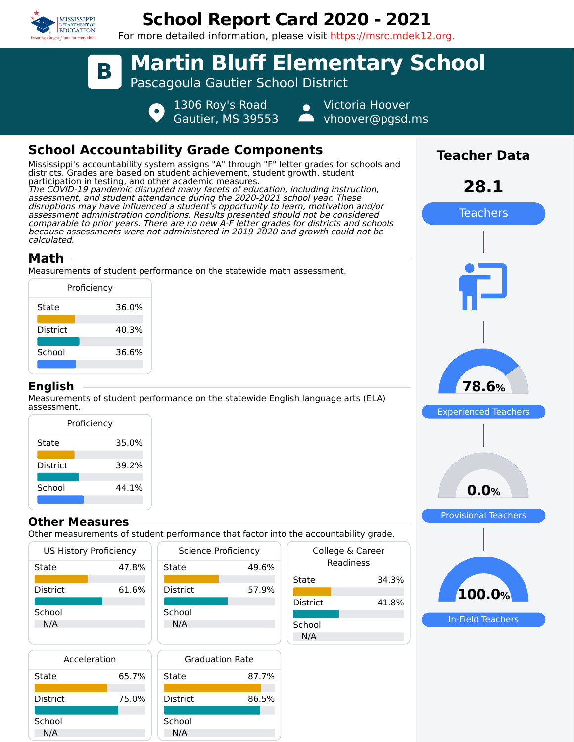

# **School Report Card 2020 - 2021**

For more detailed information, please visit https://msrc.mdek12.org.



# **School Accountability Grade Components**

Mississippi's accountability system assigns "A" through "F" letter grades for schools and districts. Grades are based on student achievement, student growth, student participation in testing, and other academic measures. The COVID-19 pandemic disrupted many facets of education, including instruction, assessment, and student attendance during the 2020-2021 school year. These disruptions may have influenced a student's opportunity to learn, motivation and/or assessment administration conditions. Results presented should not be considered comparable to prior years. There are no new A-F letter grades for districts and schools because assessments were not administered in 2019-2020 and growth could not be calculated.

# **Math**

Measurements of student performance on the statewide math assessment.

|                 | Proficiency |
|-----------------|-------------|
| State           | 36.0%       |
| <b>District</b> | 40.3%       |
| School          | 36.6%       |
|                 |             |

#### **English**

Measurements of student performance on the statewide English language arts (ELA) assessment.

| Proficiency |       |  |  |  |
|-------------|-------|--|--|--|
| State       | 35.0% |  |  |  |
| District    | 39.2% |  |  |  |
| School      | 44.1% |  |  |  |

### **Other Measures**

Other measurements of student performance that factor into the accountability grade.

| <b>US History Proficiency</b> |       | Science Proficiency | College |                 |
|-------------------------------|-------|---------------------|---------|-----------------|
| State                         | 47.8% | State               | 49.6%   | Rea             |
| <b>District</b>               | 61.6% | <b>District</b>     | 57.9%   | State           |
|                               |       |                     |         | <b>District</b> |
| School                        |       | School              |         |                 |
| N/A                           |       | N/A                 |         | School          |
|                               |       |                     |         | N/A             |
| Accoloration                  |       | $C$ raduation Data  |         |                 |

| Acceleration |       |  |
|--------------|-------|--|
| State        | 65.7% |  |
| District     | 75.0% |  |
| School       |       |  |
| N/A          |       |  |



| the accountability grade.     |       |  |  |  |  |
|-------------------------------|-------|--|--|--|--|
| College & Career<br>Readiness |       |  |  |  |  |
| State                         | 34.3% |  |  |  |  |
| District                      | 41.8% |  |  |  |  |
| School<br>N/A                 |       |  |  |  |  |